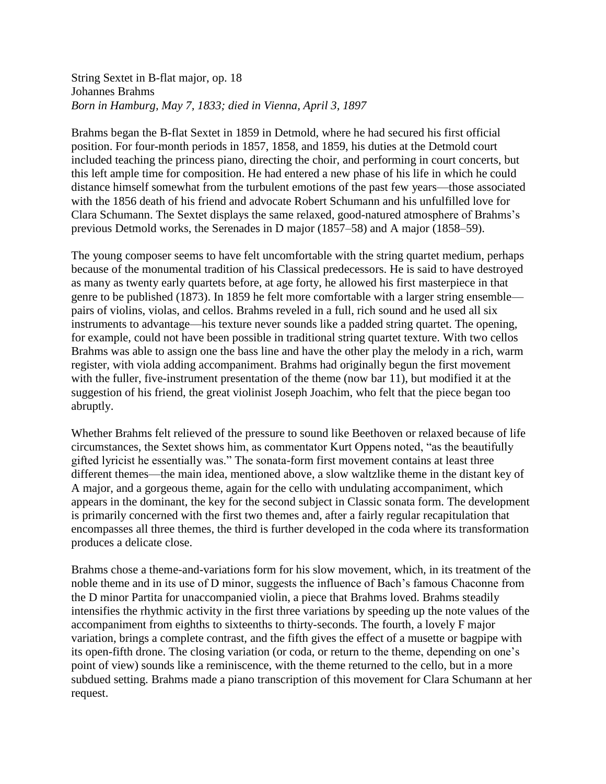## String Sextet in B-flat major, op. 18 Johannes Brahms *Born in Hamburg, May 7, 1833; died in Vienna, April 3, 1897*

Brahms began the B-flat Sextet in 1859 in Detmold, where he had secured his first official position. For four-month periods in 1857, 1858, and 1859, his duties at the Detmold court included teaching the princess piano, directing the choir, and performing in court concerts, but this left ample time for composition. He had entered a new phase of his life in which he could distance himself somewhat from the turbulent emotions of the past few years—those associated with the 1856 death of his friend and advocate Robert Schumann and his unfulfilled love for Clara Schumann. The Sextet displays the same relaxed, good-natured atmosphere of Brahms's previous Detmold works, the Serenades in D major (1857–58) and A major (1858–59).

The young composer seems to have felt uncomfortable with the string quartet medium, perhaps because of the monumental tradition of his Classical predecessors. He is said to have destroyed as many as twenty early quartets before, at age forty, he allowed his first masterpiece in that genre to be published (1873). In 1859 he felt more comfortable with a larger string ensemble pairs of violins, violas, and cellos. Brahms reveled in a full, rich sound and he used all six instruments to advantage—his texture never sounds like a padded string quartet. The opening, for example, could not have been possible in traditional string quartet texture. With two cellos Brahms was able to assign one the bass line and have the other play the melody in a rich, warm register, with viola adding accompaniment. Brahms had originally begun the first movement with the fuller, five-instrument presentation of the theme (now bar 11), but modified it at the suggestion of his friend, the great violinist Joseph Joachim, who felt that the piece began too abruptly.

Whether Brahms felt relieved of the pressure to sound like Beethoven or relaxed because of life circumstances, the Sextet shows him, as commentator Kurt Oppens noted, "as the beautifully gifted lyricist he essentially was." The sonata-form first movement contains at least three different themes—the main idea, mentioned above, a slow waltzlike theme in the distant key of A major, and a gorgeous theme, again for the cello with undulating accompaniment, which appears in the dominant, the key for the second subject in Classic sonata form. The development is primarily concerned with the first two themes and, after a fairly regular recapitulation that encompasses all three themes, the third is further developed in the coda where its transformation produces a delicate close.

Brahms chose a theme-and-variations form for his slow movement, which, in its treatment of the noble theme and in its use of D minor, suggests the influence of Bach's famous Chaconne from the D minor Partita for unaccompanied violin, a piece that Brahms loved. Brahms steadily intensifies the rhythmic activity in the first three variations by speeding up the note values of the accompaniment from eighths to sixteenths to thirty-seconds. The fourth, a lovely F major variation, brings a complete contrast, and the fifth gives the effect of a musette or bagpipe with its open-fifth drone. The closing variation (or coda, or return to the theme, depending on one's point of view) sounds like a reminiscence, with the theme returned to the cello, but in a more subdued setting. Brahms made a piano transcription of this movement for Clara Schumann at her request.